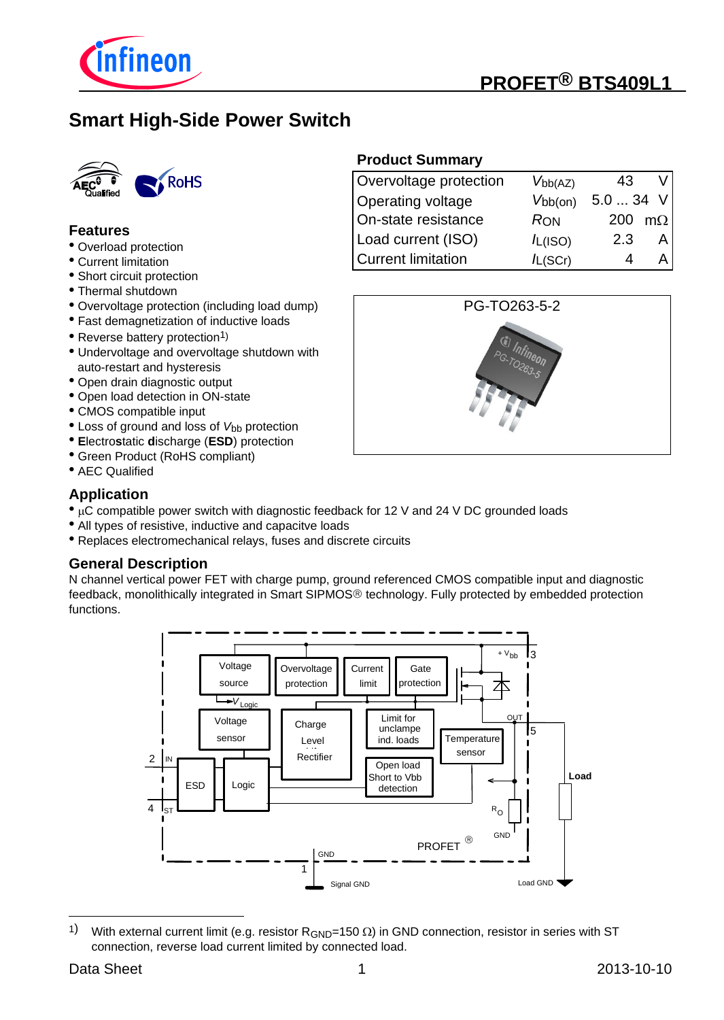

# **PROFET® BTS409L1**

# **Smart High-Side Power Switch**



#### **Features**

- Overload protection
- Current limitation
- Short circuit protection
- Thermal shutdown
- Overvoltage protection (including load dump)
- Fast demagnetization of inductive loads
- Reverse battery protection<sup>1)</sup>
- Undervoltage and overvoltage shutdown with auto-restart and hysteresis
- Open drain diagnostic output
- Open load detection in ON-state
- CMOS compatible input
- Loss of ground and loss of *V*<sub>bb</sub> protection
- **E**lectro**s**tatic **d**ischarge (**ESD**) protection
- Green Product (RoHS compliant)
- AEC Qualified

#### **Application**

- uC compatible power switch with diagnostic feedback for 12 V and 24 V DC grounded loads
- All types of resistive, inductive and capacitve loads
- Replaces electromechanical relays, fuses and discrete circuits

#### **General Description**

N channel vertical power FET with charge pump, ground referenced CMOS compatible input and diagnostic feedback, monolithically integrated in Smart SIPMOS® technology. Fully protected by embedded protection functions.



<sup>1)</sup> With external current limit (e.g. resistor  $R_{GND}=150 \Omega$ ) in GND connection, resistor in series with ST connection, reverse load current limited by connected load.

# Overvoltage protection *V<sub>bb(AZ)</sub>* 43 V

**Product Summary**

|                     | V DDIAZI     |           |           |
|---------------------|--------------|-----------|-----------|
| Operating voltage   | $V_{bb(on)}$ | $5.034$ V |           |
| On-state resistance | <b>RON</b>   | 200       | $m\Omega$ |
| Load current (ISO)  | /L(ISO)      | 2.3       |           |
| Current limitation  | $I_{L(SCr)}$ |           |           |

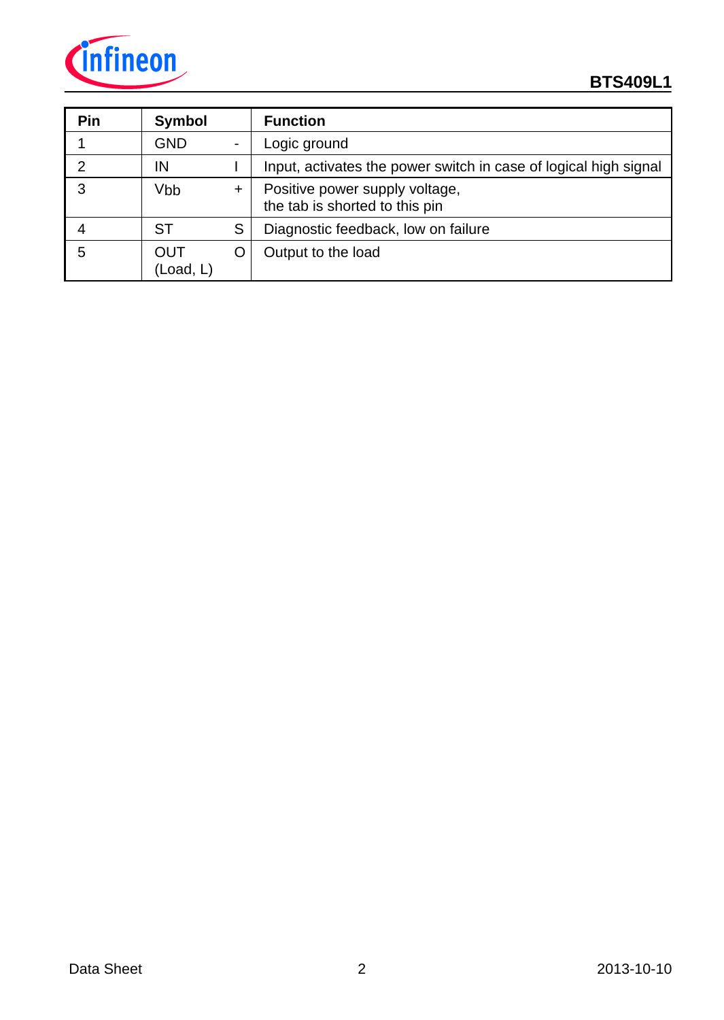

| Pin | <b>Symbol</b>           |           | <b>Function</b>                                                  |
|-----|-------------------------|-----------|------------------------------------------------------------------|
|     | <b>GND</b>              |           | Logic ground                                                     |
| 2   | IN                      |           | Input, activates the power switch in case of logical high signal |
| 3   | Vbb                     | $\ddot{}$ | Positive power supply voltage,<br>the tab is shorted to this pin |
|     | <b>ST</b>               | S         | Diagnostic feedback, low on failure                              |
| 5   | <b>OUT</b><br>(Load, L) |           | Output to the load                                               |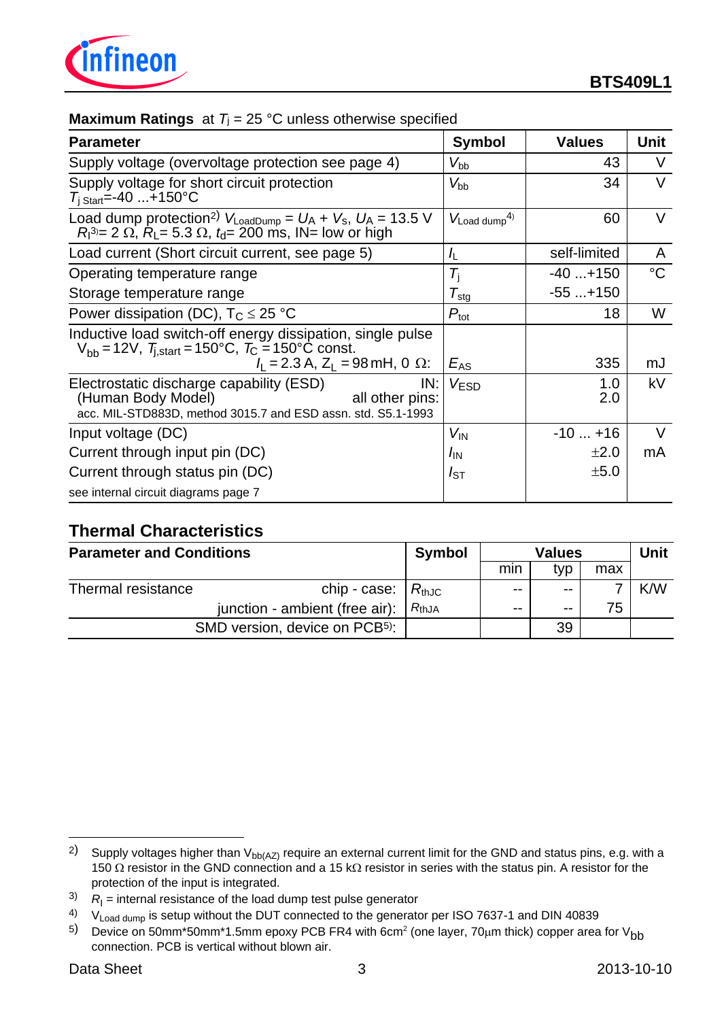

### **Maximum Ratings** at  $T_i = 25 \text{ °C}$  unless otherwise specified

| <b>Parameter</b>                                                                                                                                                                   | <b>Symbol</b>              | <b>Values</b> | <b>Unit</b>   |
|------------------------------------------------------------------------------------------------------------------------------------------------------------------------------------|----------------------------|---------------|---------------|
| Supply voltage (overvoltage protection see page 4)                                                                                                                                 | $V_{\rm bb}$               | 43            | V             |
| Supply voltage for short circuit protection<br>$T_{\rm i \; Start} = -40 \ldots + 150^{\circ}C$                                                                                    | $V_{\rm bb}$               | 34            | $\mathcal{U}$ |
| Load dump protection <sup>2)</sup> $V_{\text{LoadDump}} = U_A + V_s$ , $U_A = 13.5$ V<br>$R_1^{3} = 2 \Omega$ , $R_1 = 5.3 \Omega$ , $t_1 = 200$ ms, IN= low or high               | $V_{\text{Load dump}}^{4}$ | 60            | V             |
| Load current (Short circuit current, see page 5)                                                                                                                                   | /L                         | self-limited  | A             |
| Operating temperature range                                                                                                                                                        | $T_{\rm i}$                | $-40+150$     | $^{\circ}C$   |
| Storage temperature range                                                                                                                                                          | $\mathcal{T}_{\text{stg}}$ | $-55+150$     |               |
| Power dissipation (DC), $T_C \le 25$ °C                                                                                                                                            | $P_{\text{tot}}$           | 18            | W             |
| Inductive load switch-off energy dissipation, single pulse<br>$V_{bb}$ = 12V, $T_{i,start}$ = 150°C, $T_{C}$ = 150°C const.<br>$I_1 = 2.3$ A, Z <sub>1</sub> = 98 mH, 0 $\Omega$ : | $E_{AS}$                   | 335           | mJ            |
| IN:<br>Electrostatic discharge capability (ESD)<br>(Human Body Model)<br>all other pins:<br>acc. MIL-STD883D, method 3015.7 and ESD assn. std. S5.1-1993                           | V <sub>FSD</sub>           | 1.0<br>2.0    | kV            |
| Input voltage (DC)                                                                                                                                                                 | $V_{\text{IN}}$            | $-10+16$      | V             |
| Current through input pin (DC)                                                                                                                                                     | /IN                        | $\pm 2.0$     | mA            |
| Current through status pin (DC)                                                                                                                                                    | $I_{ST}$                   | ±5.0          |               |
| see internal circuit diagrams page 7                                                                                                                                               |                            |               |               |

## **Thermal Characteristics**

| <b>Parameter and Conditions</b> |                                            | <b>Symbol</b>       | <b>Values</b> |       |     | Unit |
|---------------------------------|--------------------------------------------|---------------------|---------------|-------|-----|------|
|                                 |                                            |                     | mın           | tvp   | max |      |
| Thermal resistance              | chip - case:                               | $R_{\mathsf{thJC}}$ | $- -$         | $- -$ |     | K/W  |
|                                 | junction - ambient (free air):             | $R_{thJA}$          | $- -$         | $- -$ | 75  |      |
|                                 | SMD version, device on PCB <sup>5)</sup> : |                     |               | 39    |     |      |

<sup>2)</sup> Supply voltages higher than  $V_{bb(AZ)}$  require an external current limit for the GND and status pins, e.g. with a 150  $\Omega$  resistor in the GND connection and a 15 k $\Omega$  resistor in series with the status pin. A resistor for the protection of the input is integrated.

 $3$   $R$ <sub>I</sub> = internal resistance of the load dump test pulse generator

<sup>&</sup>lt;sup>4)</sup> V<sub>Load dump</sub> is setup without the DUT connected to the generator per ISO 7637-1 and DIN 40839

 $^{5)}$  Device on 50mm\*50mm\*1.5mm epoxy PCB FR4 with 6cm<sup>2</sup> (one layer, 70µm thick) copper area for V<sub>bb</sub> connection. PCB is vertical without blown air.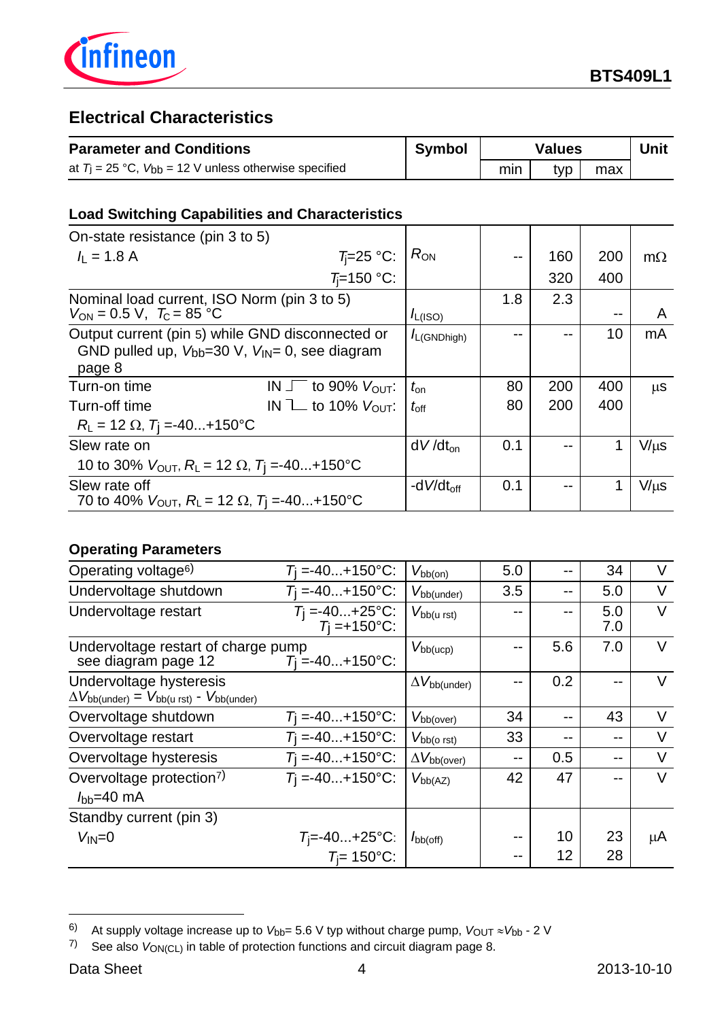

## **Electrical Characteristics**

| <b>Parameter and Conditions</b>                              | Symbol |     | <b>Values</b> |     | Unit |
|--------------------------------------------------------------|--------|-----|---------------|-----|------|
| at $T_1 = 25$ °C, $V_{bb} = 12$ V unless otherwise specified |        | min | tvp           | max |      |

## **Load Switching Capabilities and Characteristics**

| On-state resistance (pin 3 to 5)                                                                                     |                                           |                  |     |     |     |           |
|----------------------------------------------------------------------------------------------------------------------|-------------------------------------------|------------------|-----|-----|-----|-----------|
| $I_1 = 1.8$ A                                                                                                        | $T_i=25$ °C:                              | $R_{ON}$         |     | 160 | 200 | $m\Omega$ |
|                                                                                                                      | $T_i=150$ °C:                             |                  |     | 320 | 400 |           |
| Nominal load current, ISO Norm (pin 3 to 5)<br>$V_{ON} = 0.5 \text{ V}, T_{C} = 85 \text{ °C}$                       |                                           | $I_{L(ISO)}$     | 1.8 | 2.3 |     | A         |
| Output current (pin 5) while GND disconnected or<br>GND pulled up, $V_{bb}=30$ V, $V_{IN}=0$ , see diagram<br>page 8 |                                           | $I_{L(GNDhigh)}$ |     |     | 10  | mA        |
| Turn-on time                                                                                                         | IN $\sqrt{\ }$ to 90% $V_{\text{OUT}}$ :  | $t_{\rm on}$     | 80  | 200 | 400 | μS        |
| Turn-off time                                                                                                        | IN $\mathbb{L}$ to 10% $V_{\text{OUT}}$ : | $t_{\rm off}$    | 80  | 200 | 400 |           |
| $R_{L} = 12 \Omega$ , $T_{I} = -40+150^{\circ}C$                                                                     |                                           |                  |     |     |     |           |
| Slew rate on                                                                                                         |                                           | $dV/dt_{on}$     | 0.1 |     | 1   | $V/\mu s$ |
| 10 to 30% $V_{\text{OUT}}$ , $R_{\text{L}}$ = 12 $\Omega$ , $T_{\text{I}}$ =-40+150 °C                               |                                           |                  |     |     |     |           |
| Slew rate off<br>70 to 40% $V_{\text{OUT}}$ , $R_{\text{L}} = 12 \Omega$ , $T_{\text{I}} = -40+150^{\circ}\text{C}$  |                                           | -d $V/dt_{off}$  | 0.1 |     | 1   | $V/\mu s$ |

## **Operating Parameters**

| Operating voltage <sup>6)</sup>                                                                                        | $T_1 = -40+150$ °C:                    | $V_{\text{bb}(on)}$            | 5.0 |       | 34         | $\vee$ |
|------------------------------------------------------------------------------------------------------------------------|----------------------------------------|--------------------------------|-----|-------|------------|--------|
| Undervoltage shutdown                                                                                                  | $T_1 = -40+150$ °C:                    | $V_{\text{bb(under)}}$         | 3.5 | --    | 5.0        | V      |
| Undervoltage restart                                                                                                   | $T_1 = -40+25$ °C:<br>$T_1 = +150$ °C: | $V_{\text{bb}(u \text{ rst})}$ |     | --    | 5.0<br>7.0 | V      |
| Undervoltage restart of charge pump<br>see diagram page 12                                                             | $T_1 = -40+150$ °C:                    | $V_{\text{bb(ucp)}}$           |     | 5.6   | 7.0        | V      |
| Undervoltage hysteresis<br>$\Delta V_{\text{bb(under)}} = V_{\text{bb(}u \text{ rst)}} - V_{\text{bb(}u \text{ rdt)}}$ |                                        | $\Delta V_{\rm bb (under)}$    |     | 0.2   | --         | V      |
| Overvoltage shutdown                                                                                                   | $T_1 = -40+150$ °C:                    | $V_{\rm bb(over)}$             | 34  | $- -$ | 43         | $\vee$ |
| Overvoltage restart                                                                                                    | $T_1 = -40+150$ °C:                    | $V_{\rm bb(O\;rst)}$           | 33  | $- -$ | --         | V      |
| Overvoltage hysteresis                                                                                                 | $T_1 = -40+150$ °C:                    | $\Delta V_{\rm bb(over)}$      | --  | 0.5   | --         | $\vee$ |
| Overvoltage protection <sup>7)</sup><br>$I_{\text{bb}}=40 \text{ mA}$                                                  | $T_1 = -40+150$ °C:                    | $V_{\text{bb}(AZ)}$            | 42  | 47    |            | $\vee$ |
| Standby current (pin 3)                                                                                                |                                        |                                |     |       |            |        |
| $V_{IN} = 0$                                                                                                           | $T_j = -40+25$ °C:                     | $I_{\text{bb(off)}}$           |     | 10    | 23         | μA     |
|                                                                                                                        | $T_i = 150$ °C:                        |                                |     | 12    | 28         |        |

<sup>6)</sup> At supply voltage increase up to  $V_{bb}$ = 5.6 V typ without charge pump,  $V_{\text{OUT}} \approx V_{\text{bb}}$  - 2 V

<sup>7)</sup> See also *V*ON(CL) in table of protection functions and circuit diagram page 8.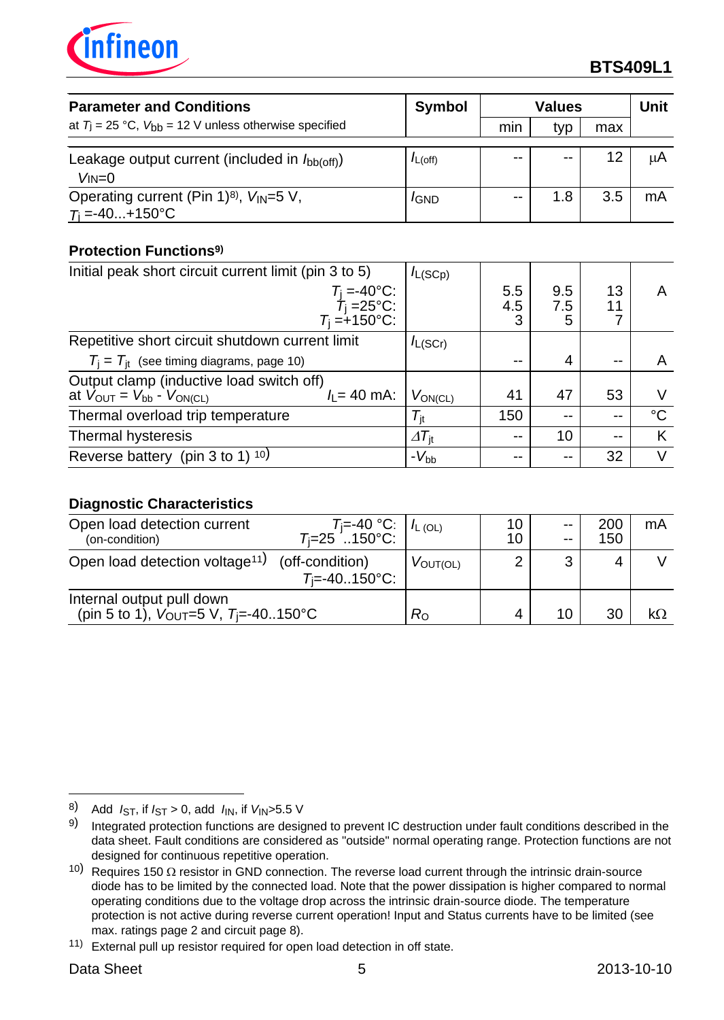

| <b>Parameter and Conditions</b>                                 | <b>Symbol</b> | <b>Values</b> |       |     | Unit |
|-----------------------------------------------------------------|---------------|---------------|-------|-----|------|
| at $T_1 = 25$ °C, $V_{bb} = 12$ V unless otherwise specified    |               | mın           | typ   | max |      |
|                                                                 |               |               |       |     |      |
| Leakage output current (included in $I_{\text{bb(off)}}$ )      | $I_{L(Off)}$  | $ -$          | $- -$ | 12  | μA   |
| $V_{IN}=0$                                                      |               |               |       |     |      |
| Operating current (Pin 1) <sup>8)</sup> , V <sub>IN</sub> =5 V, | <i>I</i> GND  | $ -$          | 1.8   | 3.5 | mA   |
| $T_i = -40+150$ °C                                              |               |               |       |     |      |

## **Protection Functions9)**

| Initial peak short circuit current limit (pin 3 to 5)                                                                 | $I_{L(SCp)}$                |                 |                 |          |    |
|-----------------------------------------------------------------------------------------------------------------------|-----------------------------|-----------------|-----------------|----------|----|
| $T_{\rm j} = -40^{\circ}$ C:<br>$T_{\rm i} = 25^{\circ}$ C:<br>$T_i = +150$ °C:                                       |                             | 5.5<br>4.5<br>3 | 9.5<br>7.5<br>5 | 13<br>11 | A  |
| Repetitive short circuit shutdown current limit                                                                       | $I_{L(SCr)}$                |                 |                 |          |    |
| $T_i = T_{it}$ (see timing diagrams, page 10)                                                                         |                             | --              | 4               |          |    |
| Output clamp (inductive load switch off)<br>at $V_{\text{OUT}} = V_{\text{bb}} - V_{\text{ON(CL)}}$<br>$l_1 = 40$ mA: | $V_{ON(CL)}$                | 41              | 47              | 53       | V  |
| Thermal overload trip temperature                                                                                     | $\mathcal{T}_{\mathsf{it}}$ | 150             | --              | $-$      | °C |
| Thermal hysteresis                                                                                                    | $\Delta T_{\text{it}}$      | $- -$           | 10              | $- -$    | K  |
| Reverse battery (pin 3 to 1) $10$ )                                                                                   | $-V_{\rm bb}$               |                 | --              | 32       | V  |

## **Diagnostic Characteristics**

| Open load detection current<br>(on-condition)                                                                       | $T_1=40\degree C$ : $150\degree C$ : $1\degree C$ |                             | 10<br>10 | $- -$<br>$- -$ | 200<br>150 | mA |
|---------------------------------------------------------------------------------------------------------------------|---------------------------------------------------|-----------------------------|----------|----------------|------------|----|
| Open load detection voltage <sup>11)</sup>                                                                          | (off-condition)<br>$T_i = -40.150$ °C:            | $V_{\text{OUT}(\text{OL})}$ |          | 3              | 4          |    |
| Internal output pull down<br>(pin 5 to 1), $V_{\text{OUT}}=5 \text{ V}$ , $T_{\text{i}} = -40.150^{\circ} \text{C}$ |                                                   | $R_{\rm O}$                 | 4        | 10.            | 30         |    |

<sup>8)</sup> Add  $I_{ST}$ , if  $I_{ST} > 0$ , add  $I_{IN}$ , if  $V_{IN} > 5.5$  V

<sup>9)</sup> Integrated protection functions are designed to prevent IC destruction under fault conditions described in the data sheet. Fault conditions are considered as "outside" normal operating range. Protection functions are not designed for continuous repetitive operation.

<sup>10)</sup> Requires 150  $\Omega$  resistor in GND connection. The reverse load current through the intrinsic drain-source diode has to be limited by the connected load. Note that the power dissipation is higher compared to normal operating conditions due to the voltage drop across the intrinsic drain-source diode. The temperature protection is not active during reverse current operation! Input and Status currents have to be limited (see max. ratings page 2 and circuit page 8).

<sup>11)</sup> External pull up resistor required for open load detection in off state.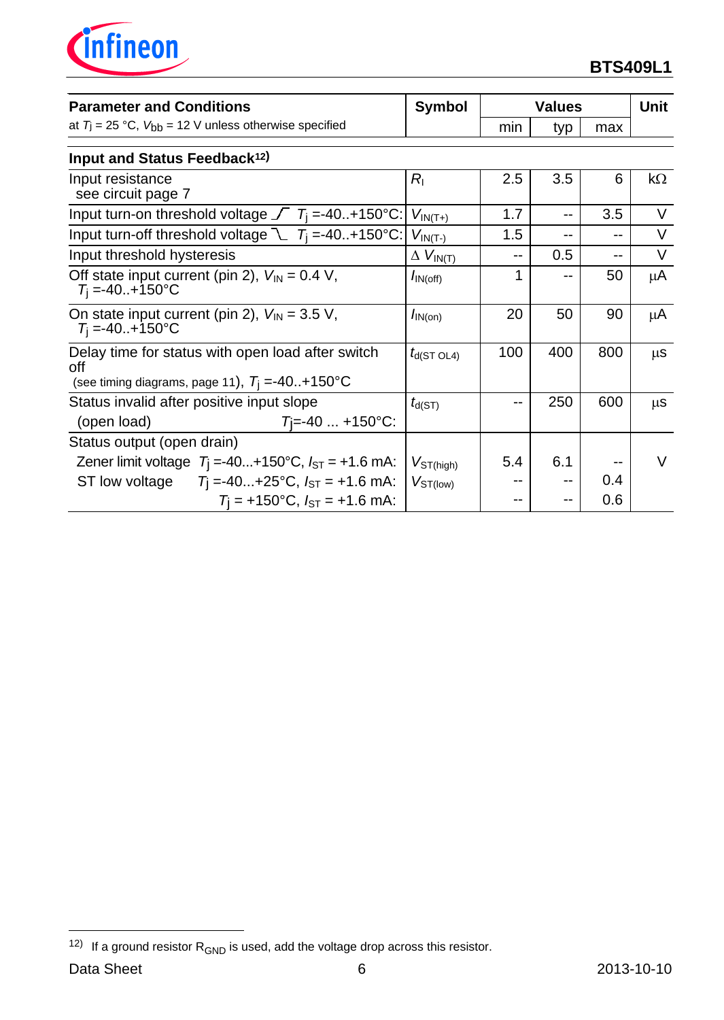

| <b>Parameter and Conditions</b>                                                                                             | <b>Symbol</b>               | <b>Values</b> |     |     | <b>Unit</b> |
|-----------------------------------------------------------------------------------------------------------------------------|-----------------------------|---------------|-----|-----|-------------|
| at $T_j = 25$ °C, $V_{bb} = 12$ V unless otherwise specified                                                                |                             | min           | typ | max |             |
| Input and Status Feedback <sup>12)</sup>                                                                                    |                             |               |     |     |             |
| Input resistance<br>see circuit page 7                                                                                      | $R_{\rm I}$                 | 2.5           | 3.5 | 6   | $k\Omega$   |
| Input turn-on threshold voltage $\sqrt{7}$ T <sub>i</sub> =-40+150°C:                                                       | $V_{IN(T+)}$                | 1.7           | $-$ | 3.5 | V           |
| Input turn-off threshold voltage $\mathcal{L}$ $T_i = -40+150^{\circ}C$ :                                                   | $V_{IN(T-)}$                | 1.5           | --  | --  | V           |
| Input threshold hysteresis                                                                                                  | $\Delta V_{IN(T)}$          | --            | 0.5 | --  | $\vee$      |
| Off state input current (pin 2), $V_{IN} = 0.4 V$ ,<br>$T_i = -40+150$ °C                                                   | $I_{\text{IN}(\text{off})}$ | 1             | --  | 50  | μA          |
| On state input current (pin 2), $V_{\text{IN}} = 3.5$ V,<br>$T_1 = -40. + 150$ °C                                           | $I_{IN(on)}$                | 20            | 50  | 90  | μA          |
| Delay time for status with open load after switch<br>off<br>(see timing diagrams, page 11), $T_i = -40+150^{\circ}C$        | $t_{d(ST OLA)}$             | 100           | 400 | 800 | $\mu$ S     |
| Status invalid after positive input slope<br>$T = -40$ +150°C:<br>(open load)                                               | $t_{d(ST)}$                 | --            | 250 | 600 | $\mu$ S     |
| Status output (open drain)                                                                                                  |                             |               |     |     |             |
| Zener limit voltage $T_1 = -40+150^{\circ}C$ , $I_{ST} = +1.6$ mA:<br>ST low voltage $T_1 = -40+25$ °C, $I_{ST} = +1.6$ mA: | $V_{ST(high)}$              | 5.4           | 6.1 | 0.4 | V           |
| $T_1$ = +150°C, $I_{ST}$ = +1.6 mA:                                                                                         | $V_{ST(low)}$               |               |     | 0.6 |             |

<sup>&</sup>lt;sup>12)</sup> If a ground resistor  $R_{GND}$  is used, add the voltage drop across this resistor.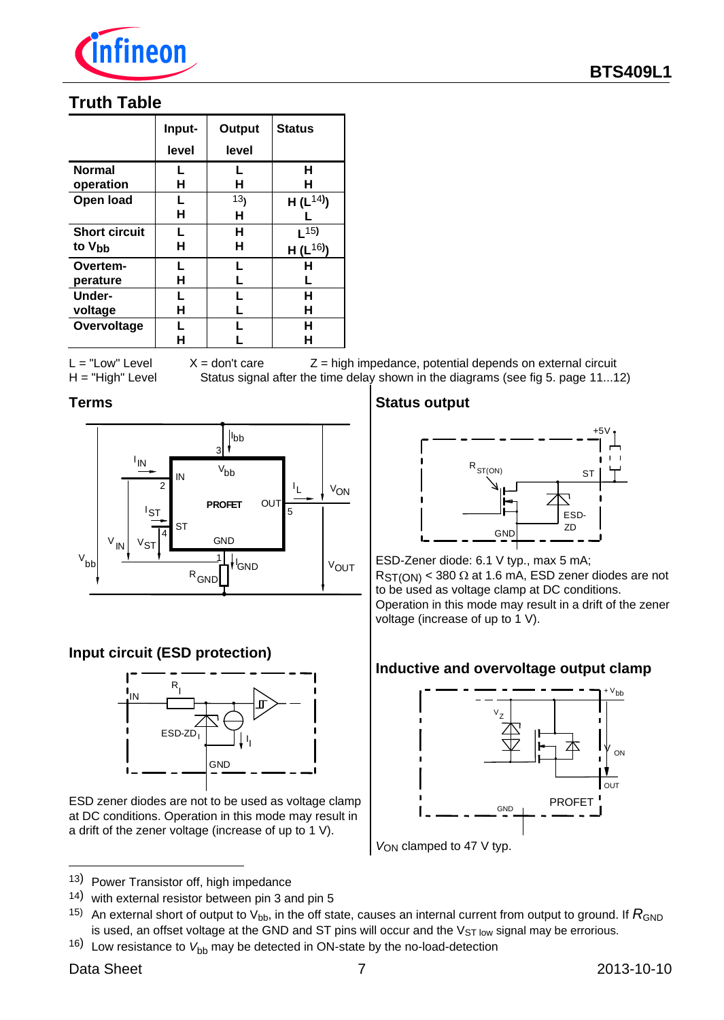

## **Truth Table**

|                      | Input- | Output          | <b>Status</b> |
|----------------------|--------|-----------------|---------------|
|                      | level  | level           |               |
| <b>Normal</b>        | L      | L               | н             |
| operation            | н      | н               | н             |
| Open load            | L      | 13 <sub>1</sub> | $H(L^{14})$   |
|                      | н      | н               |               |
| <b>Short circuit</b> | L      | н               | $L^{15}$      |
| to V <sub>bb</sub>   | н      | н               | $H(L^{16})$   |
| Overtem-             | L      | L               | н             |
| perature             | н      | L               | L             |
| Under-               | L      | L               | н             |
| voltage              | н      | L               | н             |
| Overvoltage          | L      | L               | н             |
|                      | н      |                 | н             |

 $L = "Low" Level X = don't care Z = high impedance, potential depends on external circuit$ H = "High" Level Status signal after the time delay shown in the diagrams (see fig 5. page 11...12)

#### **Terms**



## **Input circuit (ESD protection)**



ESD zener diodes are not to be used as voltage clamp at DC conditions. Operation in this mode may result in a drift of the zener voltage (increase of up to 1 V).

- <sup>13</sup>) Power Transistor off, high impedance
- <sup>14</sup>) with external resistor between pin 3 and pin 5
- 15) An external short of output to  $V_{bb}$ , in the off state, causes an internal current from output to ground. If  $R_{GND}$ is used, an offset voltage at the GND and ST pins will occur and the  $V_{ST}$  low signal may be errorious.
- 16) Low resistance to  $V_{\text{bb}}$  may be detected in ON-state by the no-load-detection

j

#### **Status output**



ESD-Zener diode: 6.1 V typ., max 5 mA;  $RST(ON) < 380 \Omega$  at 1.6 mA, ESD zener diodes are not to be used as voltage clamp at DC conditions. Operation in this mode may result in a drift of the zener voltage (increase of up to 1 V).

#### **Inductive and overvoltage output clamp**



*V*ON clamped to 47 V typ.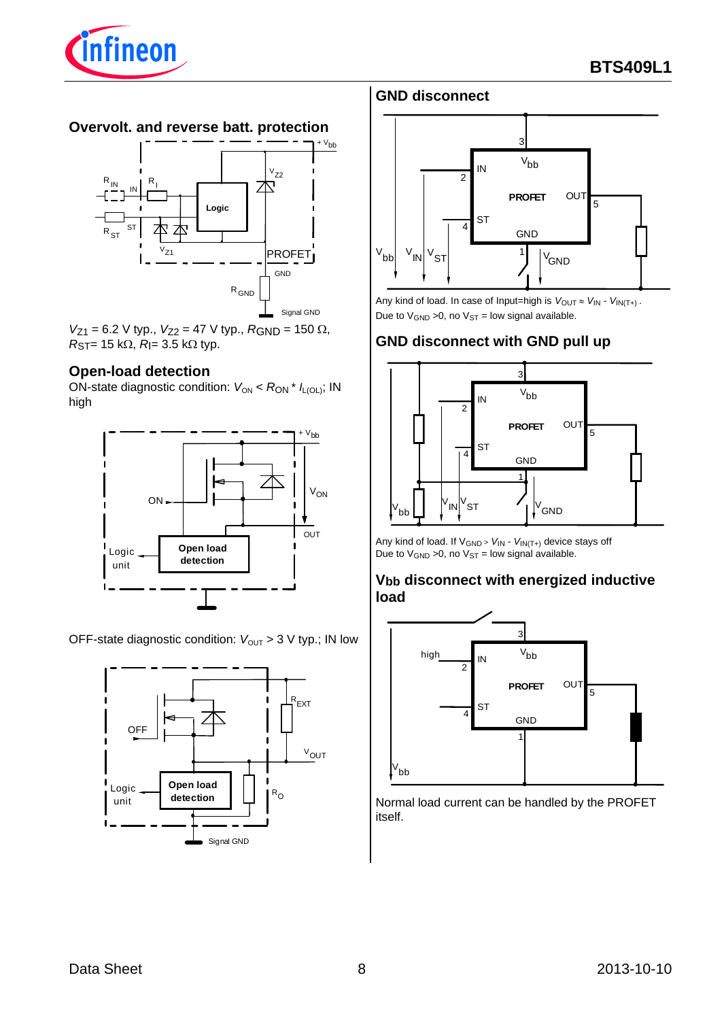

#### **Overvolt. and reverse batt. protection**



 $V_{Z1} = 6.2$  V typ.,  $V_{Z2} = 47$  V typ.,  $R_{GND} = 150$   $\Omega$ ,  $R_{ST}$ = 15 k $\Omega$ ,  $R$ |= 3.5 k $\Omega$  typ.

#### **Open-load detection**

ON-state diagnostic condition:  $V_{ON}$  <  $R_{ON}$  \*  $I_{L[OL]}$ ; IN high



OFF-state diagnostic condition:  $V_{\text{OUT}} > 3$  V typ.; IN low



## **GND disconnect**



Any kind of load. In case of Input=high is  $V_{\text{OUT}} \approx V_{\text{IN}} - V_{\text{IN}(T+)}$ . Due to  $V_{GND} > 0$ , no  $V_{ST} =$  low signal available.

### **GND disconnect with GND pull up**



Any kind of load. If VGND <sup>&</sup>gt; *V*IN - *V*IN(T+) device stays off Due to  $V_{GND} > 0$ , no  $V_{ST} =$  low signal available.

#### **Vbb disconnect with energized inductive load**



Normal load current can be handled by the PROFET itself.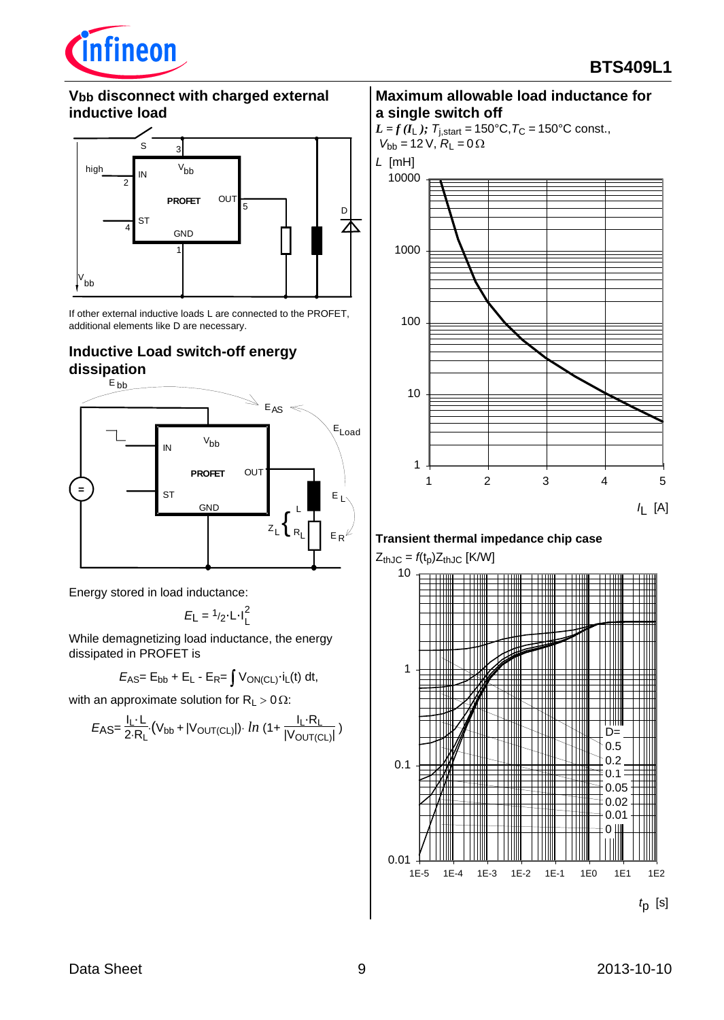

### **Vbb disconnect with charged external inductive load**



If other external inductive loads L are connected to the PROFET, additional elements like D are necessary.

## **Inductive Load switch-off energy dissipation**



Energy stored in load inductance:

$$
E_{\rm L} = \frac{1}{2} \cdot L \cdot I_{\rm L}^2
$$

While demagnetizing load inductance, the energy dissipated in PROFET is

$$
E_{AS} = E_{bb} + E_L - E_R = \int V_{ON(CL)} \cdot i_L(t) dt,
$$

with an approximate solution for  $R_1 > 0 \Omega$ :

$$
E_{\text{AS}} = \frac{I_{\text{L}} \cdot L}{2 \cdot R_{\text{L}}} \cdot (V_{\text{bb}} + |V_{\text{OUT(CL)}}|) \cdot \ln \left(1 + \frac{I_{\text{L}} \cdot R_{\text{L}}}{|V_{\text{OUT(CL)}}|}\right)
$$

#### **Maximum allowable load inductance for a single switch off**

*L* = *f* ( $I_L$ );  $T_{j,start}$  = 150°C,  $T_C$  = 150°C const.,  $V_{bb} = 12 \text{ V}, \ R_{L} = 0 \Omega$ 





## **Transient thermal impedance chip case**

 $Z_{thJC} = f(t_p)Z_{thJC}$  [K/W]

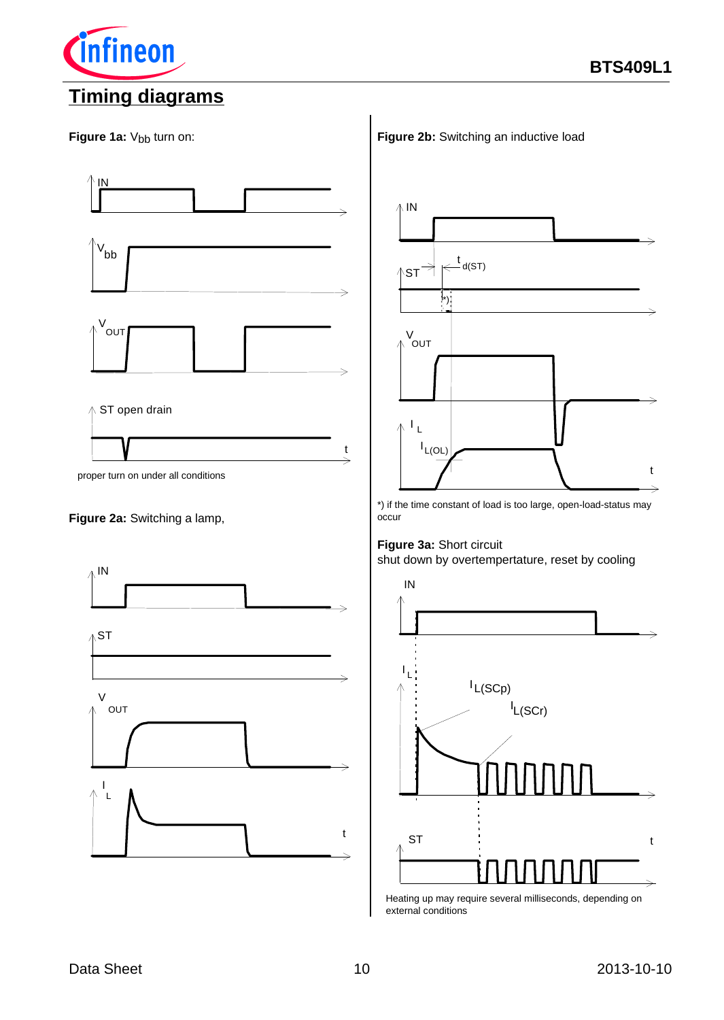

**Cinfineon** 



#### **Figure 2a:** Switching a lamp,



**Figure 2b:** Switching an inductive load



\*) if the time constant of load is too large, open-load-status may occur

# **Figure 3a:** Short circuit

shut down by overtempertature, reset by cooling



Heating up may require several milliseconds, depending on external conditions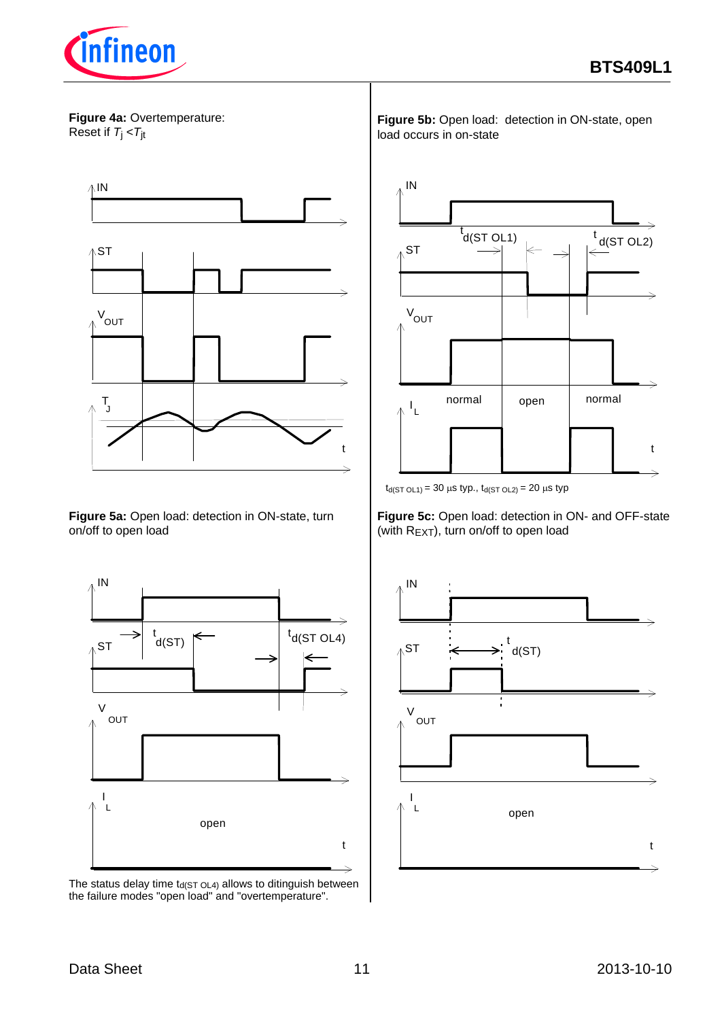

**Figure 4a:** Overtemperature: Reset if *T*j <*T*jt



**Figure 5a:** Open load: detection in ON-state, turn on/off to open load



The status delay time  $t_{d(ST OLA)}$  allows to ditinguish between the failure modes "open load" and "overtemperature".

**Figure 5b:** Open load: detection in ON-state, open load occurs in on-state



 $t_{d(ST OLI)} = 30 \mu s \ typ., \ t_{d(ST OL2)} = 20 \mu s \ typ$ 

**Figure 5c:** Open load: detection in ON- and OFF-state (with REXT), turn on/off to open load

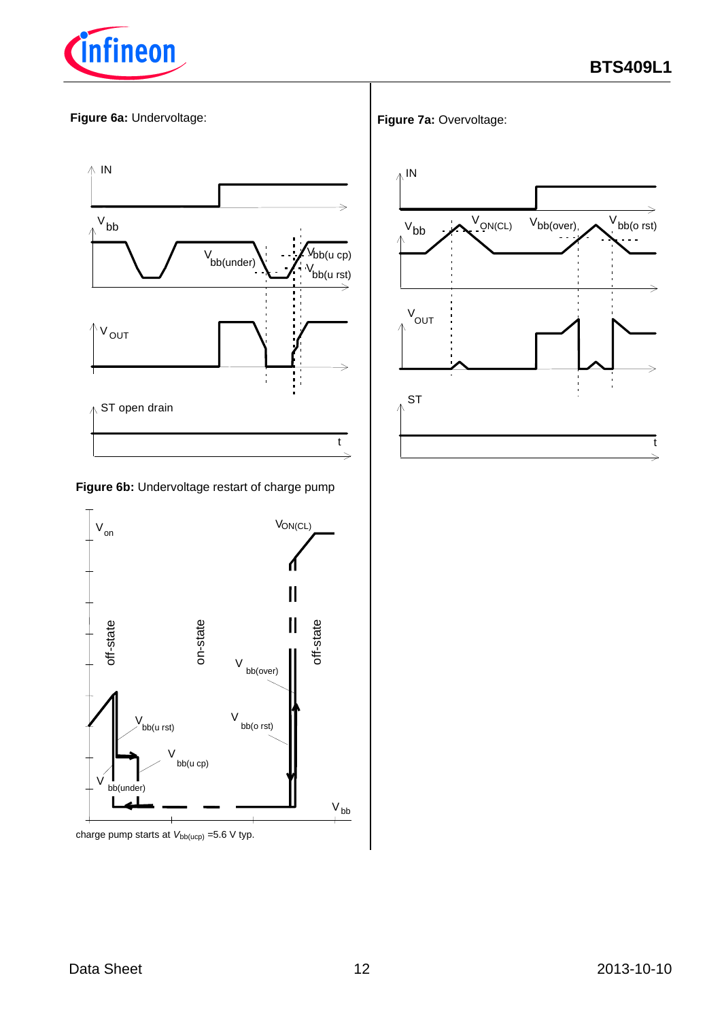

#### **Figure 6a:** Undervoltage:



**Figure 6b:** Undervoltage restart of charge pump



charge pump starts at  $V_{bb(ucp)}$  =5.6 V typ.

#### **Figure 7a:** Overvoltage: